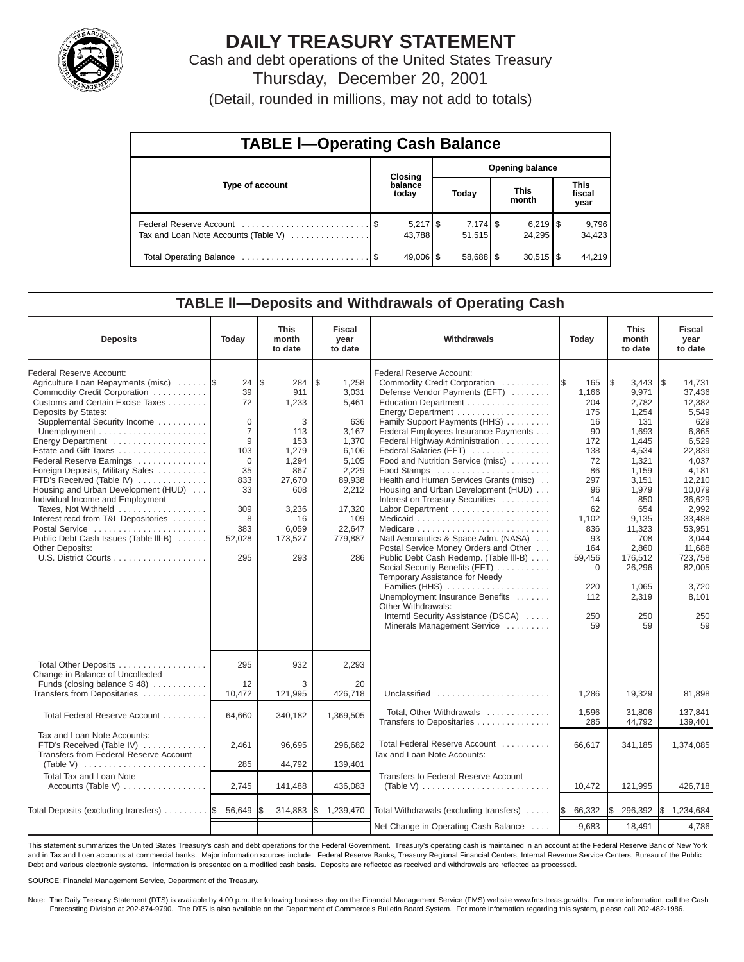

# **DAILY TREASURY STATEMENT**

Cash and debt operations of the United States Treasury Thursday, December 20, 2001

(Detail, rounded in millions, may not add to totals)

| <b>TABLE I-Operating Cash Balance</b> |  |                      |                        |                        |                      |                        |                               |                 |  |
|---------------------------------------|--|----------------------|------------------------|------------------------|----------------------|------------------------|-------------------------------|-----------------|--|
|                                       |  | Closing              | <b>Opening balance</b> |                        |                      |                        |                               |                 |  |
| Type of account                       |  | balance<br>today     |                        | Today                  | <b>This</b><br>month |                        | <b>This</b><br>fiscal<br>year |                 |  |
| Tax and Loan Note Accounts (Table V)  |  | $5,217$ \$<br>43.788 |                        | 7,174   \$<br>51.515   |                      | 24.295                 |                               | 9,796<br>34,423 |  |
|                                       |  | 49,006   \$          |                        | $58,688$ $\frac{8}{3}$ |                      | $30,515$ $\frac{1}{3}$ |                               | 44.219          |  |

### **TABLE ll—Deposits and Withdrawals of Operating Cash**

| <b>Deposits</b>                                                                                                                                                                                                                                                                                                                                                                                                                                                                                                                                             | Today                                                                                                                | <b>This</b><br>month<br>to date                                                                                                   | <b>Fiscal</b><br>year<br>to date                                                                                                                  | Withdrawals                                                                                                                                                                                                                                                                                                                                                                                                                                                                                                                                                                                                                                                                                                                                                                                                              | Today                                                                                                                                                                   | <b>This</b><br>month<br>to date                                                                                                                                                                                    | <b>Fiscal</b><br>year<br>to date                                                                                                                                                                                                         |
|-------------------------------------------------------------------------------------------------------------------------------------------------------------------------------------------------------------------------------------------------------------------------------------------------------------------------------------------------------------------------------------------------------------------------------------------------------------------------------------------------------------------------------------------------------------|----------------------------------------------------------------------------------------------------------------------|-----------------------------------------------------------------------------------------------------------------------------------|---------------------------------------------------------------------------------------------------------------------------------------------------|--------------------------------------------------------------------------------------------------------------------------------------------------------------------------------------------------------------------------------------------------------------------------------------------------------------------------------------------------------------------------------------------------------------------------------------------------------------------------------------------------------------------------------------------------------------------------------------------------------------------------------------------------------------------------------------------------------------------------------------------------------------------------------------------------------------------------|-------------------------------------------------------------------------------------------------------------------------------------------------------------------------|--------------------------------------------------------------------------------------------------------------------------------------------------------------------------------------------------------------------|------------------------------------------------------------------------------------------------------------------------------------------------------------------------------------------------------------------------------------------|
| Federal Reserve Account:<br>Agriculture Loan Repayments (misc)<br>Commodity Credit Corporation<br>Customs and Certain Excise Taxes<br>Deposits by States:<br>Supplemental Security Income<br>Energy Department<br>Estate and Gift Taxes<br>Federal Reserve Earnings<br>Foreign Deposits, Military Sales<br>FTD's Received (Table IV)<br>Housing and Urban Development (HUD)<br>Individual Income and Employment<br>Taxes, Not Withheld<br>Interest recd from T&L Depositories<br>Postal Service<br>Public Debt Cash Issues (Table III-B)<br>Other Deposits: | 24<br>39<br>72<br>0<br>$\overline{7}$<br>9<br>103<br>$\Omega$<br>35<br>833<br>33<br>309<br>8<br>383<br>52,028<br>295 | l\$<br>284<br>911<br>1,233<br>3<br>113<br>153<br>1,279<br>1,294<br>867<br>27,670<br>608<br>3,236<br>16<br>6,059<br>173,527<br>293 | \$<br>1,258<br>3,031<br>5,461<br>636<br>3,167<br>1,370<br>6,106<br>5,105<br>2,229<br>89,938<br>2,212<br>17,320<br>109<br>22,647<br>779,887<br>286 | Federal Reserve Account:<br>Commodity Credit Corporation<br>Defense Vendor Payments (EFT)<br>Education Department<br>Energy Department<br>Family Support Payments (HHS)<br>Federal Employees Insurance Payments<br>Federal Highway Administration<br>Federal Salaries (EFT)<br>Food and Nutrition Service (misc)<br>Food Stamps<br>Health and Human Services Grants (misc)<br>Housing and Urban Development (HUD)<br>Interest on Treasury Securities<br>Labor Department<br>Natl Aeronautics & Space Adm. (NASA)<br>Postal Service Money Orders and Other<br>Public Debt Cash Redemp. (Table III-B)<br>Social Security Benefits (EFT)<br>Temporary Assistance for Needy<br>Families (HHS)<br>Unemployment Insurance Benefits<br>Other Withdrawals:<br>Interntl Security Assistance (DSCA)<br>Minerals Management Service | I\$<br>165<br>1,166<br>204<br>175<br>16<br>90<br>172<br>138<br>72<br>86<br>297<br>96<br>14<br>62<br>1,102<br>836<br>93<br>164<br>59,456<br>0<br>220<br>112<br>250<br>59 | l\$<br>3,443<br>9,971<br>2,782<br>1,254<br>131<br>1,693<br>1,445<br>4,534<br>1,321<br>1,159<br>3,151<br>1,979<br>850<br>654<br>9,135<br>11,323<br>708<br>2,860<br>176,512<br>26,296<br>1.065<br>2,319<br>250<br>59 | $\sqrt{3}$<br>14.731<br>37,436<br>12,382<br>5,549<br>629<br>6,865<br>6,529<br>22,839<br>4,037<br>4,181<br>12,210<br>10,079<br>36,629<br>2,992<br>33,488<br>53,951<br>3,044<br>11,688<br>723,758<br>82,005<br>3.720<br>8,101<br>250<br>59 |
| Total Other Deposits<br>Change in Balance of Uncollected<br>Funds (closing balance \$48)                                                                                                                                                                                                                                                                                                                                                                                                                                                                    | 295<br>12                                                                                                            | 932<br>3                                                                                                                          | 2,293<br>20                                                                                                                                       |                                                                                                                                                                                                                                                                                                                                                                                                                                                                                                                                                                                                                                                                                                                                                                                                                          |                                                                                                                                                                         |                                                                                                                                                                                                                    |                                                                                                                                                                                                                                          |
| Transfers from Depositaries<br>Total Federal Reserve Account                                                                                                                                                                                                                                                                                                                                                                                                                                                                                                | 10,472<br>64,660                                                                                                     | 121,995<br>340,182                                                                                                                | 426,718<br>1,369,505                                                                                                                              | Unclassified<br>Total, Other Withdrawals                                                                                                                                                                                                                                                                                                                                                                                                                                                                                                                                                                                                                                                                                                                                                                                 | 1,286<br>1,596                                                                                                                                                          | 19,329<br>31.806                                                                                                                                                                                                   | 81,898<br>137.841                                                                                                                                                                                                                        |
| Tax and Loan Note Accounts:<br>FTD's Received (Table IV)<br>Transfers from Federal Reserve Account<br>(Table V)                                                                                                                                                                                                                                                                                                                                                                                                                                             | 2,461<br>285                                                                                                         | 96,695<br>44,792                                                                                                                  | 296,682<br>139,401                                                                                                                                | Transfers to Depositaries<br>Total Federal Reserve Account<br>Tax and Loan Note Accounts:                                                                                                                                                                                                                                                                                                                                                                                                                                                                                                                                                                                                                                                                                                                                | 285<br>66,617                                                                                                                                                           | 44,792<br>341,185                                                                                                                                                                                                  | 139,401<br>1,374,085                                                                                                                                                                                                                     |
| <b>Total Tax and Loan Note</b><br>Accounts (Table V)                                                                                                                                                                                                                                                                                                                                                                                                                                                                                                        | 2,745                                                                                                                | 141,488                                                                                                                           | 436,083                                                                                                                                           | <b>Transfers to Federal Reserve Account</b><br>(Table V) $\ldots \ldots \ldots \ldots \ldots \ldots \ldots \ldots$                                                                                                                                                                                                                                                                                                                                                                                                                                                                                                                                                                                                                                                                                                       | 10,472                                                                                                                                                                  | 121,995                                                                                                                                                                                                            | 426,718                                                                                                                                                                                                                                  |
| Total Deposits (excluding transfers)  \$                                                                                                                                                                                                                                                                                                                                                                                                                                                                                                                    | 56,649                                                                                                               |                                                                                                                                   | 314,883 \$ 1,239,470                                                                                                                              | Total Withdrawals (excluding transfers)                                                                                                                                                                                                                                                                                                                                                                                                                                                                                                                                                                                                                                                                                                                                                                                  | 66,332<br><b>1\$</b>                                                                                                                                                    | l\$<br>296,392                                                                                                                                                                                                     | \$1,234,684                                                                                                                                                                                                                              |
|                                                                                                                                                                                                                                                                                                                                                                                                                                                                                                                                                             |                                                                                                                      |                                                                                                                                   |                                                                                                                                                   | Net Change in Operating Cash Balance                                                                                                                                                                                                                                                                                                                                                                                                                                                                                                                                                                                                                                                                                                                                                                                     | $-9,683$                                                                                                                                                                | 18,491                                                                                                                                                                                                             | 4,786                                                                                                                                                                                                                                    |

This statement summarizes the United States Treasury's cash and debt operations for the Federal Government. Treasury's operating cash is maintained in an account at the Federal Reserve Bank of New York and in Tax and Loan accounts at commercial banks. Major information sources include: Federal Reserve Banks, Treasury Regional Financial Centers, Internal Revenue Service Centers, Bureau of the Public Debt and various electronic systems. Information is presented on a modified cash basis. Deposits are reflected as received and withdrawals are reflected as processed.

SOURCE: Financial Management Service, Department of the Treasury.

Note: The Daily Treasury Statement (DTS) is available by 4:00 p.m. the following business day on the Financial Management Service (FMS) website www.fms.treas.gov/dts. For more information, call the Cash Forecasting Division at 202-874-9790. The DTS is also available on the Department of Commerce's Bulletin Board System. For more information regarding this system, please call 202-482-1986.